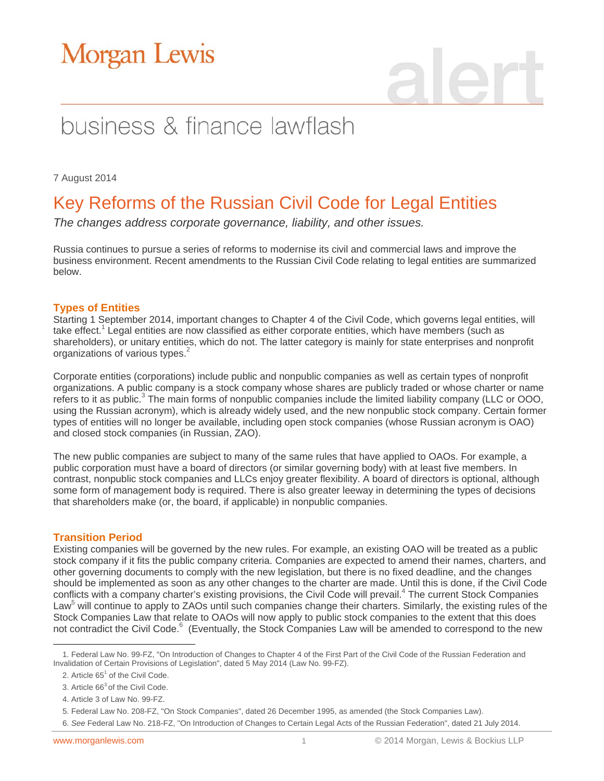# business & finance lawflash

7 August 2014

### Key Reforms of the Russian Civil Code for Legal Entities

*The changes address corporate governance, liability, and other issues.*

Russia continues to pursue a series of reforms to modernise its civil and commercial laws and improve the business environment. Recent amendments to the Russian Civil Code relating to legal entities are summarized below.

### **Types of Entities**

Starting 1 September 2014, important changes to Chapter 4 of the Civil Code, which governs legal entities, will take effect.<sup>1</sup> Legal entities are now classified as either corporate entities, which have members (such as shareholders), or unitary entities, which do not. The latter category is mainly for state enterprises and nonprofit organizations of various types.<sup>2</sup>

Corporate entities (corporations) include public and nonpublic companies as well as certain types of nonprofit organizations. A public company is a stock company whose shares are publicly traded or whose charter or name refers to it as public.<sup>3</sup> The main forms of nonpublic companies include the limited liability company (LLC or OOO, using the Russian acronym), which is already widely used, and the new nonpublic stock company. Certain former types of entities will no longer be available, including open stock companies (whose Russian acronym is OAO) and closed stock companies (in Russian, ZAO).

The new public companies are subject to many of the same rules that have applied to OAOs. For example, a public corporation must have a board of directors (or similar governing body) with at least five members. In contrast, nonpublic stock companies and LLCs enjoy greater flexibility. A board of directors is optional, although some form of management body is required. There is also greater leeway in determining the types of decisions that shareholders make (or, the board, if applicable) in nonpublic companies.

### **Transition Period**

Existing companies will be governed by the new rules. For example, an existing OAO will be treated as a public stock company if it fits the public company criteria. Companies are expected to amend their names, charters, and other governing documents to comply with the new legislation, but there is no fixed deadline, and the changes should be implemented as soon as any other changes to the charter are made. Until this is done, if the Civil Code conflicts with a company charter's existing provisions, the Civil Code will prevail.<sup>4</sup> The current Stock Companies Law<sup>5</sup> will continue to apply to ZAOs until such companies change their charters. Similarly, the existing rules of the Stock Companies Law that relate to OAOs will now apply to public stock companies to the extent that this does not contradict the Civil Code.<sup>6</sup> (Eventually, the Stock Companies Law will be amended to correspond to the new

6. *See* Federal Law No. 218-FZ, "On Introduction of Changes to Certain Legal Acts of the Russian Federation", dated 21 July 2014.

 $\overline{a}$ 1. Federal Law No. 99-FZ, "On Introduction of Changes to Chapter 4 of the First Part of the Civil Code of the Russian Federation and Invalidation of Certain Provisions of Legislation", dated 5 May 2014 (Law No. 99-FZ).

<sup>2.</sup> Article  $65<sup>1</sup>$  of the Civil Code.

<sup>3.</sup> Article 66<sup>3</sup> of the Civil Code.

<sup>4.</sup> Article 3 of Law No. 99-FZ.

<sup>5.</sup> Federal Law No. 208-FZ, "On Stock Companies", dated 26 December 1995, as amended (the Stock Companies Law).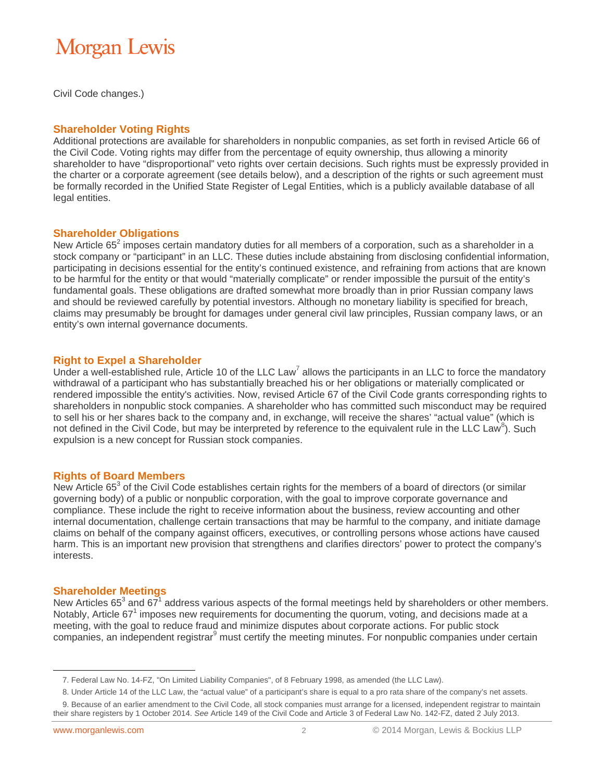Civil Code changes.)

#### **Shareholder Voting Rights**

Additional protections are available for shareholders in nonpublic companies, as set forth in revised Article 66 of the Civil Code. Voting rights may differ from the percentage of equity ownership, thus allowing a minority shareholder to have "disproportional" veto rights over certain decisions. Such rights must be expressly provided in the charter or a corporate agreement (see details below), and a description of the rights or such agreement must be formally recorded in the Unified State Register of Legal Entities, which is a publicly available database of all legal entities.

#### **Shareholder Obligations**

New Article 65<sup>2</sup> imposes certain mandatory duties for all members of a corporation, such as a shareholder in a stock company or "participant" in an LLC. These duties include abstaining from disclosing confidential information, participating in decisions essential for the entity's continued existence, and refraining from actions that are known to be harmful for the entity or that would "materially complicate" or render impossible the pursuit of the entity's fundamental goals. These obligations are drafted somewhat more broadly than in prior Russian company laws and should be reviewed carefully by potential investors. Although no monetary liability is specified for breach, claims may presumably be brought for damages under general civil law principles, Russian company laws, or an entity's own internal governance documents.

#### **Right to Expel a Shareholder**

Under a well-established rule, Article 10 of the LLC Law<sup>7</sup> allows the participants in an LLC to force the mandatory withdrawal of a participant who has substantially breached his or her obligations or materially complicated or rendered impossible the entity's activities. Now, revised Article 67 of the Civil Code grants corresponding rights to shareholders in nonpublic stock companies. A shareholder who has committed such misconduct may be required to sell his or her shares back to the company and, in exchange, will receive the shares' "actual value" (which is not defined in the Civil Code, but may be interpreted by reference to the equivalent rule in the LLC Law<sup>8</sup>). Such expulsion is a new concept for Russian stock companies.

#### **Rights of Board Members**

New Article 65 $3$  of the Civil Code establishes certain rights for the members of a board of directors (or similar governing body) of a public or nonpublic corporation, with the goal to improve corporate governance and compliance. These include the right to receive information about the business, review accounting and other internal documentation, challenge certain transactions that may be harmful to the company, and initiate damage claims on behalf of the company against officers, executives, or controlling persons whose actions have caused harm. This is an important new provision that strengthens and clarifies directors' power to protect the company's interests.

#### **Shareholder Meetings**

New Articles 65<sup>3</sup> and 67<sup>1</sup> address various aspects of the formal meetings held by shareholders or other members. Notably, Article 67<sup>1</sup> imposes new requirements for documenting the quorum, voting, and decisions made at a meeting, with the goal to reduce fraud and minimize disputes about corporate actions. For public stock companies, an independent registrar<sup>9</sup> must certify the meeting minutes. For nonpublic companies under certain

 $\overline{a}$ 

<sup>7.</sup> Federal Law No. 14-FZ, "On Limited Liability Companies", of 8 February 1998, as amended (the LLC Law).

<sup>8.</sup> Under Article 14 of the LLC Law, the "actual value" of a participant's share is equal to a pro rata share of the company's net assets.

<sup>9.</sup> Because of an earlier amendment to the Civil Code, all stock companies must arrange for a licensed, independent registrar to maintain their share registers by 1 October 2014. *See* Article 149 of the Civil Code and Article 3 of Federal Law No. 142-FZ, dated 2 July 2013.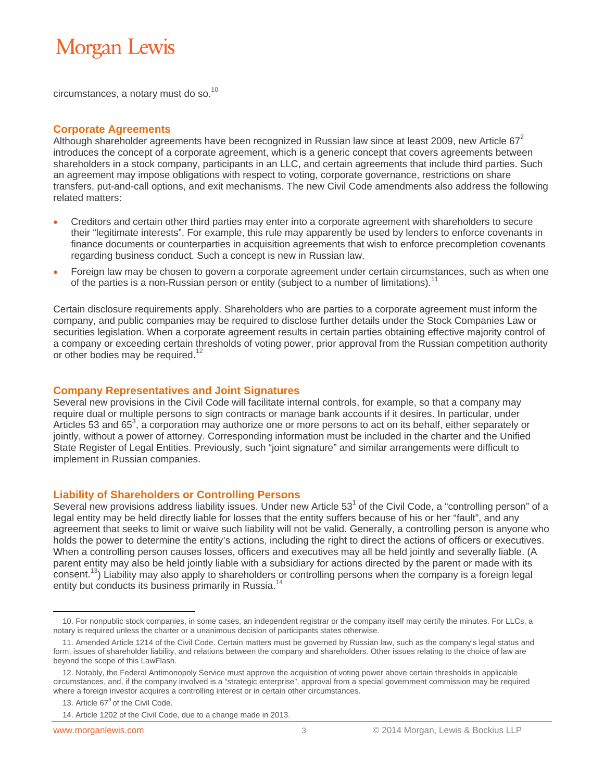circumstances, a notary must do so.<sup>10</sup>

#### **Corporate Agreements**

Although shareholder agreements have been recognized in Russian law since at least 2009, new Article  $67^2$ introduces the concept of a corporate agreement, which is a generic concept that covers agreements between shareholders in a stock company, participants in an LLC, and certain agreements that include third parties. Such an agreement may impose obligations with respect to voting, corporate governance, restrictions on share transfers, put-and-call options, and exit mechanisms. The new Civil Code amendments also address the following related matters:

- Creditors and certain other third parties may enter into a corporate agreement with shareholders to secure their "legitimate interests". For example, this rule may apparently be used by lenders to enforce covenants in finance documents or counterparties in acquisition agreements that wish to enforce precompletion covenants regarding business conduct. Such a concept is new in Russian law.
- Foreign law may be chosen to govern a corporate agreement under certain circumstances, such as when one of the parties is a non-Russian person or entity (subject to a number of limitations).<sup>1</sup>

Certain disclosure requirements apply. Shareholders who are parties to a corporate agreement must inform the company, and public companies may be required to disclose further details under the Stock Companies Law or securities legislation. When a corporate agreement results in certain parties obtaining effective majority control of a company or exceeding certain thresholds of voting power, prior approval from the Russian competition authority or other bodies may be required.<sup>12</sup>

#### **Company Representatives and Joint Signatures**

Several new provisions in the Civil Code will facilitate internal controls, for example, so that a company may require dual or multiple persons to sign contracts or manage bank accounts if it desires. In particular, under Articles 53 and 65<sup>3</sup>, a corporation may authorize one or more persons to act on its behalf, either separately or jointly, without a power of attorney. Corresponding information must be included in the charter and the Unified State Register of Legal Entities. Previously, such "joint signature" and similar arrangements were difficult to implement in Russian companies.

#### **Liability of Shareholders or Controlling Persons**

Several new provisions address liability issues. Under new Article  $53<sup>1</sup>$  of the Civil Code, a "controlling person" of a legal entity may be held directly liable for losses that the entity suffers because of his or her "fault", and any agreement that seeks to limit or waive such liability will not be valid. Generally, a controlling person is anyone who holds the power to determine the entity's actions, including the right to direct the actions of officers or executives. When a controlling person causes losses, officers and executives may all be held jointly and severally liable. (A parent entity may also be held jointly liable with a subsidiary for actions directed by the parent or made with its consent.<sup>13</sup>) Liability may also apply to shareholders or controlling persons when the company is a foreign legal entity but conducts its business primarily in Russia.<sup>14</sup>

 $\overline{a}$ 

<sup>10.</sup> For nonpublic stock companies, in some cases, an independent registrar or the company itself may certify the minutes. For LLCs, a notary is required unless the charter or a unanimous decision of participants states otherwise.

<sup>11.</sup> Amended Article 1214 of the Civil Code. Certain matters must be governed by Russian law, such as the company's legal status and form, issues of shareholder liability, and relations between the company and shareholders. Other issues relating to the choice of law are beyond the scope of this LawFlash.

<sup>12.</sup> Notably, the Federal Antimonopoly Service must approve the acquisition of voting power above certain thresholds in applicable circumstances, and, if the company involved is a "strategic enterprise", approval from a special government commission may be required where a foreign investor acquires a controlling interest or in certain other circumstances.

<sup>13.</sup> Article  $67<sup>3</sup>$  of the Civil Code.

<sup>14.</sup> Article 1202 of the Civil Code, due to a change made in 2013.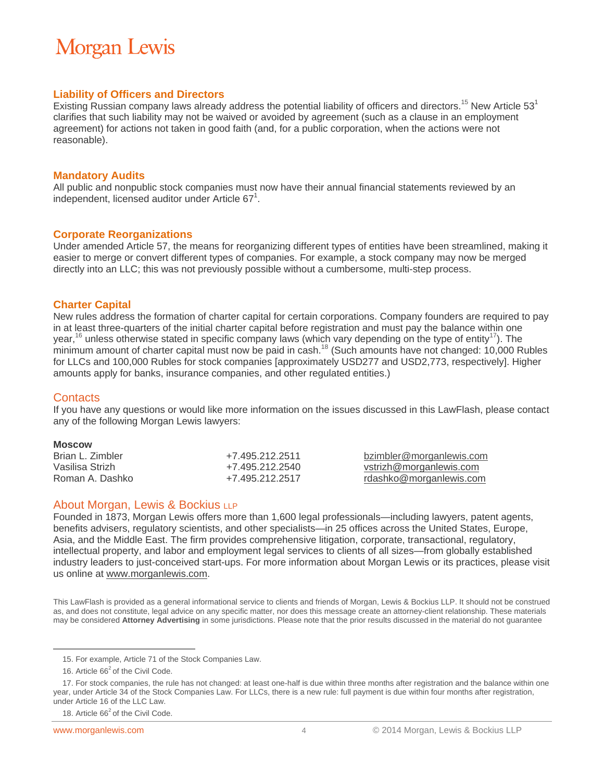#### **Liability of Officers and Directors**

Existing Russian company laws already address the potential liability of officers and directors.<sup>15</sup> New Article 53<sup>1</sup> clarifies that such liability may not be waived or avoided by agreement (such as a clause in an employment agreement) for actions not taken in good faith (and, for a public corporation, when the actions were not reasonable).

#### **Mandatory Audits**

All public and nonpublic stock companies must now have their annual financial statements reviewed by an independent, licensed auditor under Article  $67^1$ .

#### **Corporate Reorganizations**

Under amended Article 57, the means for reorganizing different types of entities have been streamlined, making it easier to merge or convert different types of companies. For example, a stock company may now be merged directly into an LLC; this was not previously possible without a cumbersome, multi-step process.

#### **Charter Capital**

New rules address the formation of charter capital for certain corporations. Company founders are required to pay in at least three-quarters of the initial charter capital before registration and must pay the balance within one year,<sup>16</sup> unless otherwise stated in specific company laws (which vary depending on the type of entity<sup>17</sup>). The minimum amount of charter capital must now be paid in cash.<sup>18</sup> (Such amounts have not changed: 10,000 Rubles for LLCs and 100,000 Rubles for stock companies [approximately USD277 and USD2,773, respectively]. Higher amounts apply for banks, insurance companies, and other regulated entities.)

#### **Contacts**

If you have any questions or would like more information on the issues discussed in this LawFlash, please contact any of the following Morgan Lewis lawyers:

#### **Moscow**

 $\overline{a}$ 

| Brian L. Zimbler | +7.495.212.2511 | bzimbler@morganlewis.com |
|------------------|-----------------|--------------------------|
| Vasilisa Strizh  | +7.495.212.2540 | vstrizh@morganlewis.com  |
| Roman A. Dashko  | +7.495.212.2517 | rdashko@morganlewis.com  |

#### About Morgan, Lewis & Bockius LLP

Founded in 1873, Morgan Lewis offers more than 1,600 legal professionals—including lawyers, patent agents, benefits advisers, regulatory scientists, and other specialists—in 25 offices across the United States, Europe, Asia, and the Middle East. The firm provides comprehensive litigation, corporate, transactional, regulatory, intellectual property, and labor and employment legal services to clients of all sizes—from globally established industry leaders to just-conceived start-ups. For more information about Morgan Lewis or its practices, please visit us online at www.morganlewis.com.

This LawFlash is provided as a general informational service to clients and friends of Morgan, Lewis & Bockius LLP. It should not be construed as, and does not constitute, legal advice on any specific matter, nor does this message create an attorney-client relationship. These materials may be considered **Attorney Advertising** in some jurisdictions. Please note that the prior results discussed in the material do not guarantee

<sup>15.</sup> For example, Article 71 of the Stock Companies Law.

<sup>16.</sup> Article  $66<sup>2</sup>$  of the Civil Code.

<sup>17.</sup> For stock companies, the rule has not changed: at least one-half is due within three months after registration and the balance within one year, under Article 34 of the Stock Companies Law. For LLCs, there is a new rule: full payment is due within four months after registration, under Article 16 of the LLC Law.

<sup>18.</sup> Article  $66<sup>2</sup>$  of the Civil Code.